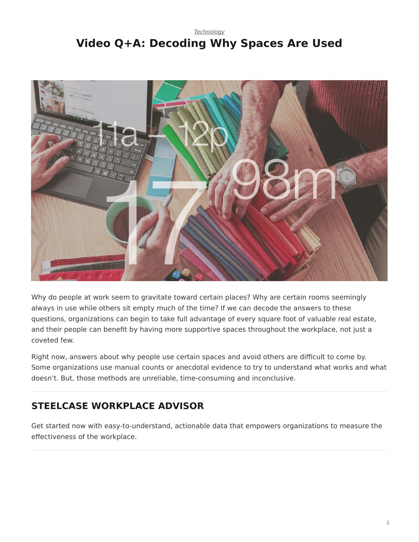## <span id="page-0-0"></span>*[Technology](https://www.steelcase.com/research/topics/technology/)* **Video Q+A: Decoding Why Spaces Are Used**



Why do people at work seem to gravitate toward certain places? Why are certain rooms seemingly always in use while others sit empty much of the time? If we can decode the answers to these questions, organizations can begin to take full advantage of every square foot of valuable real estate, and their people can benefit by having more supportive spaces throughout the workplace, not just a coveted few.

Right now, answers about why people use certain spaces and avoid others are difficult to come by. Some organizations use manual counts or anecdotal evidence to try to understand what works and what doesn't. But, those methods are unreliable, time-consuming and inconclusive.

## **STEELCASE WORKPLACE ADVISOR**

Get started now with easy-to-understand, actionable data that empowers organizations to measure the effectiveness of the workplace.